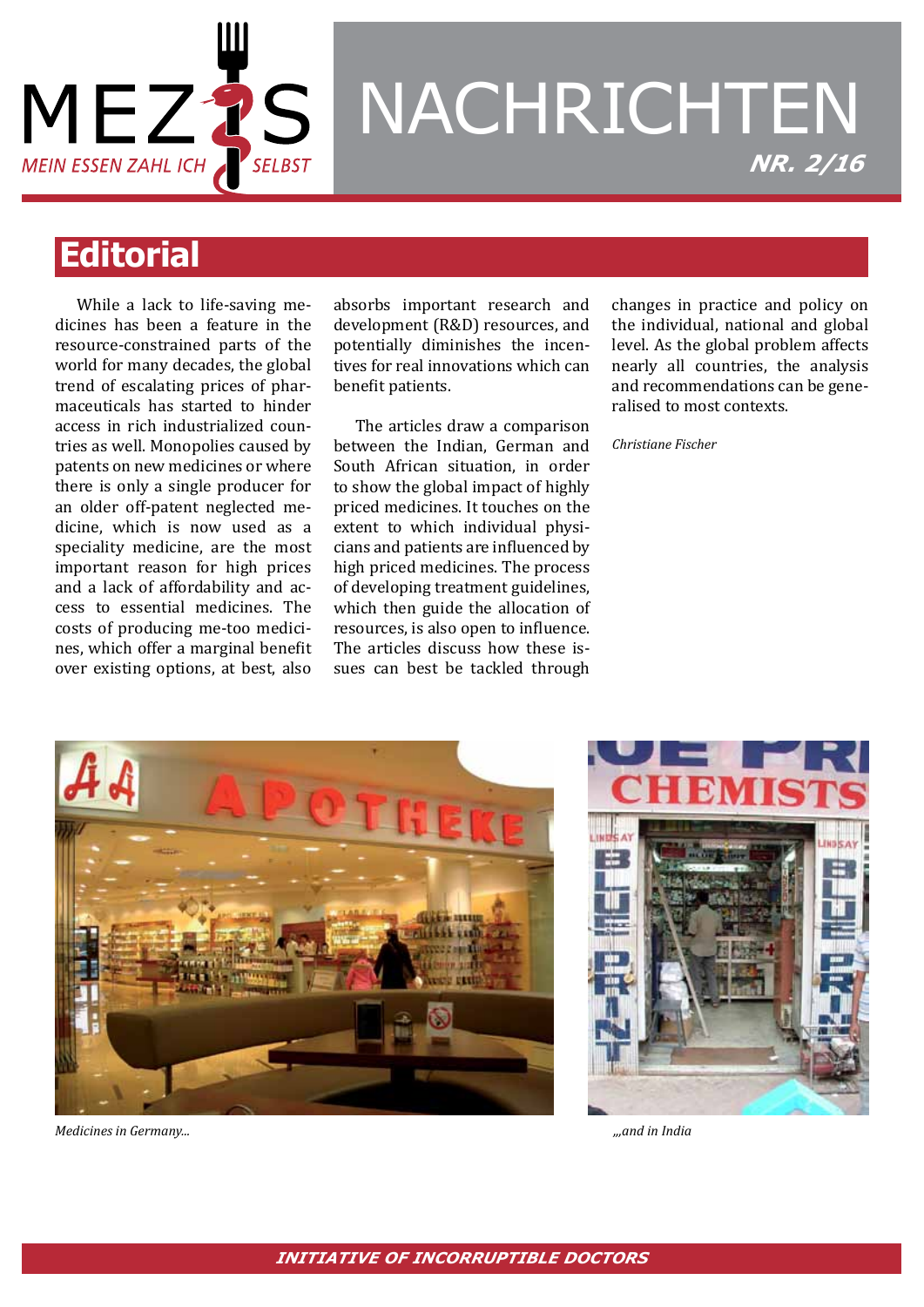

# NACHRICHTEN *NR. 2/16*

## **Editorial**

While a lack to life-saving medicines has been a feature in the resource-constrained parts of the world for many decades, the global trend of escalating prices of pharmaceuticals has started to hinder access in rich industrialized countries as well. Monopolies caused by patents on new medicines or where there is only a single producer for an older off-patent neglected medicine, which is now used as a speciality medicine, are the most important reason for high prices and a lack of affordability and access to essential medicines. The costs of producing me-too medicines, which offer a marginal benefit over existing options, at best, also

absorbs important research and development (R&D) resources, and potentially diminishes the incentives for real innovations which can benefit patients.

The articles draw a comparison between the Indian, German and South African situation, in order to show the global impact of highly priced medicines. It touches on the extent to which individual physicians and patients are influenced by high priced medicines. The process of developing treatment guidelines, which then guide the allocation of resources, is also open to influence. The articles discuss how these issues can best be tackled through

changes in practice and policy on the individual, national and global level. As the global problem affects nearly all countries, the analysis and recommendations can be generalised to most contexts.

*Christiane Fischer*



*Medicines in Germany... ,,,and in India*

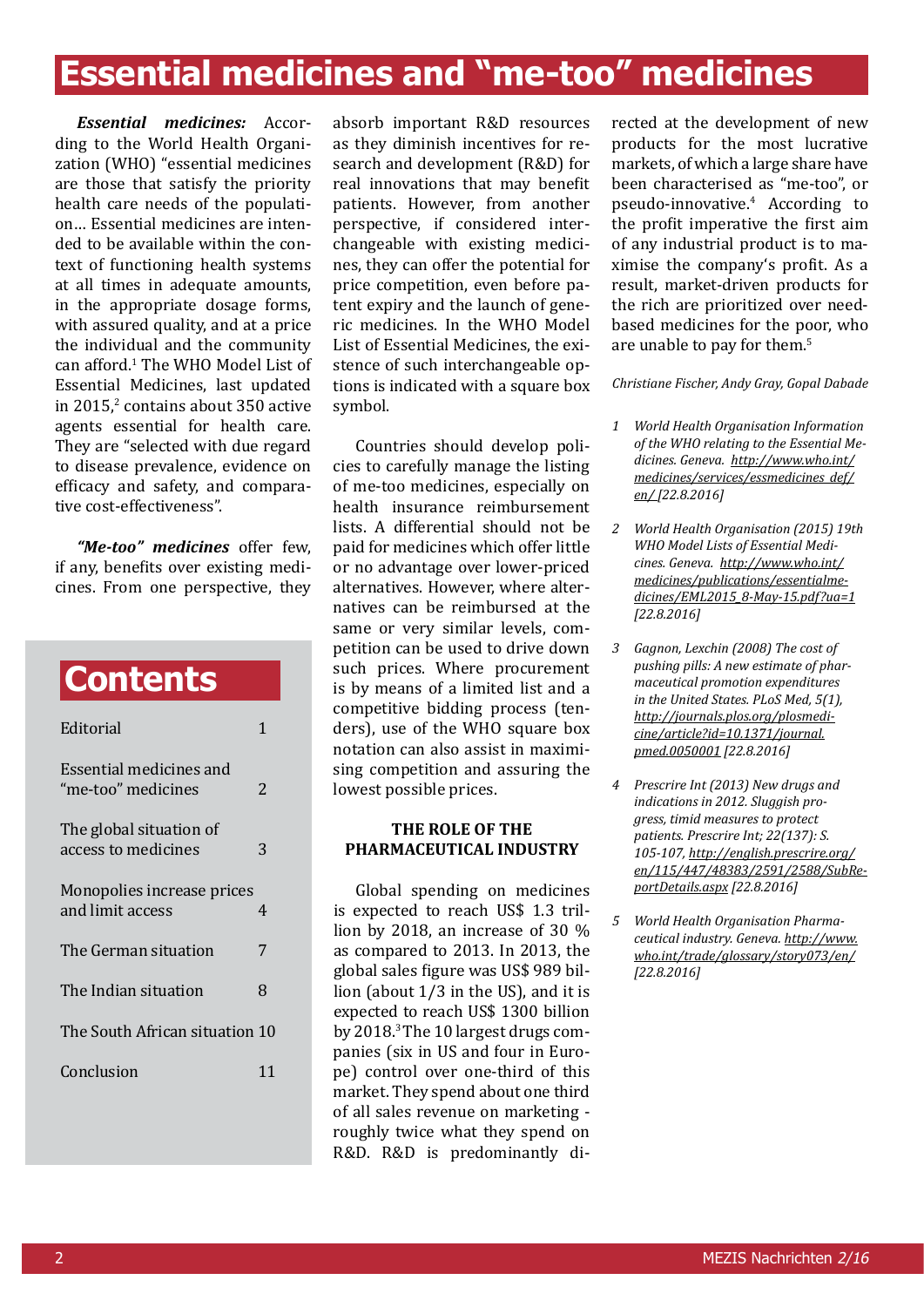# **Essential medicines and "me-too" medicines**

*Essential medicines:* According to the World Health Organization (WHO) "essential medicines are those that satisfy the priority health care needs of the population… Essential medicines are intended to be available within the context of functioning health systems at all times in adequate amounts, in the appropriate dosage forms, with assured quality, and at a price the individual and the community can afford.<sup>1</sup> The WHO Model List of Essential Medicines, last updated in 2015, $\frac{2}{3}$  contains about 350 active agents essential for health care. They are "selected with due regard to disease prevalence, evidence on efficacy and safety, and comparative cost-effectiveness".

*"Me-too" medicines* offer few, if any, benefits over existing medicines. From one perspective, they

# **Contents**

| Editorial                                      |    |
|------------------------------------------------|----|
| Essential medicines and<br>"me-too" medicines  | 2  |
| The global situation of<br>access to medicines | 3  |
| Monopolies increase prices<br>and limit access | 4  |
| The German situation                           | 7  |
| The Indian situation                           | 8  |
| The South African situation 10                 |    |
| Conclusion                                     | 11 |
|                                                |    |

absorb important R&D resources as they diminish incentives for research and development (R&D) for real innovations that may benefit patients. However, from another perspective, if considered interchangeable with existing medicines, they can offer the potential for price competition, even before patent expiry and the launch of generic medicines. In the WHO Model List of Essential Medicines, the existence of such interchangeable options is indicated with a square box symbol.

Countries should develop policies to carefully manage the listing of me-too medicines, especially on health insurance reimbursement lists. A differential should not be paid for medicines which offer little or no advantage over lower-priced alternatives. However, where alternatives can be reimbursed at the same or very similar levels, competition can be used to drive down such prices. Where procurement is by means of a limited list and a competitive bidding process (tenders), use of the WHO square box notation can also assist in maximising competition and assuring the lowest possible prices.

### **The role of the pharmaceutical industry**

Global spending on medicines is expected to reach US\$ 1.3 trillion by 2018, an increase of 30 % as compared to 2013. In 2013, the global sales figure was US\$ 989 billion (about 1/3 in the US), and it is expected to reach US\$ 1300 billion by 2018.3 The 10 largest drugs companies (six in US and four in Europe) control over one-third of this market. They spend about one third of all sales revenue on marketing roughly twice what they spend on R&D. R&D is predominantly directed at the development of new products for the most lucrative markets, of which a large share have been characterised as "me-too", or pseudo-innovative.<sup>4</sup> According to the profit imperative the first aim of any industrial product is to maximise the company's profit. As a result, market-driven products for the rich are prioritized over needbased medicines for the poor, who are unable to pay for them.<sup>5</sup>

*Christiane Fischer, Andy Gray, Gopal Dabade*

- *1 World Health Organisation Information of the WHO relating to the Essential Medicines. Geneva. http://www.who.int/ medicines/services/essmedicines\_def/ en/ [22.8.2016]*
- *2 World Health Organisation (2015) 19th WHO Model Lists of Essential Medicines. Geneva. http://www.who.int/ medicines/publications/essentialmedicines/EML2015\_8-May-15.pdf?ua=1 [22.8.2016]*
- *3 Gagnon, Lexchin (2008) The cost of pushing pills: A new estimate of pharmaceutical promotion expenditures in the United States. PLoS Med, 5(1), http://journals.plos.org/plosmedicine/article?id=10.1371/journal. pmed.0050001 [22.8.2016]*
- *4 Prescrire Int (2013) New drugs and indications in 2012. Sluggish progress, timid measures to protect patients. Prescrire Int; 22(137): S. 105-107, http://english.prescrire.org/ en/115/447/48383/2591/2588/SubReportDetails.aspx [22.8.2016]*
- *5 World Health Organisation Pharmaceutical industry. Geneva. http://www. who.int/trade/glossary/story073/en/ [22.8.2016]*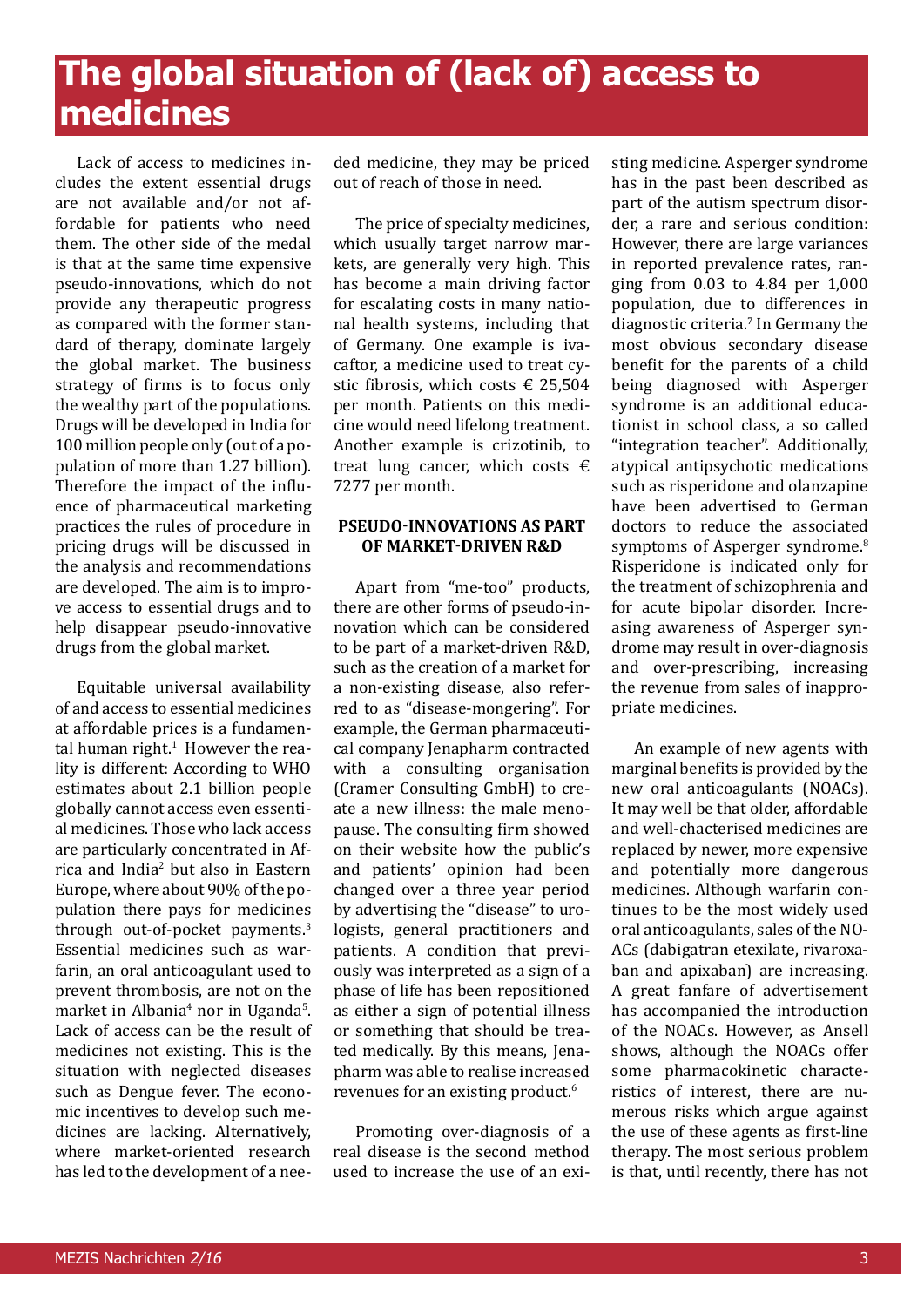# **The global situation of (lack of) access to medicines**

Lack of access to medicines includes the extent essential drugs are not available and/or not affordable for patients who need them. The other side of the medal is that at the same time expensive pseudo-innovations, which do not provide any therapeutic progress as compared with the former standard of therapy, dominate largely the global market. The business strategy of firms is to focus only the wealthy part of the populations. Drugs will be developed in India for 100 million people only (out of a population of more than 1.27 billion). Therefore the impact of the influence of pharmaceutical marketing practices the rules of procedure in pricing drugs will be discussed in the analysis and recommendations are developed. The aim is to improve access to essential drugs and to help disappear pseudo-innovative drugs from the global market.

Equitable universal availability of and access to essential medicines at affordable prices is a fundamental human right.<sup>1</sup> However the reality is different: According to WHO estimates about 2.1 billion people globally cannot access even essential medicines. Those who lack access are particularly concentrated in Africa and India<sup>2</sup> but also in Eastern Europe, where about 90% of the population there pays for medicines through out-of-pocket payments.<sup>3</sup> Essential medicines such as warfarin, an oral anticoagulant used to prevent thrombosis, are not on the market in Albania<sup>4</sup> nor in Uganda<sup>5</sup>. Lack of access can be the result of medicines not existing. This is the situation with neglected diseases such as Dengue fever. The economic incentives to develop such medicines are lacking. Alternatively, where market-oriented research has led to the development of a needed medicine, they may be priced out of reach of those in need.

The price of specialty medicines, which usually target narrow markets, are generally very high. This has become a main driving factor for escalating costs in many national health systems, including that of Germany. One example is ivacaftor, a medicine used to treat cystic fibrosis, which costs  $\epsilon$  25,504 per month. Patients on this medicine would need lifelong treatment. Another example is crizotinib, to treat lung cancer, which costs  $\epsilon$ 7277 per month.

### **Pseudo-innovations as part of market-driven R&D**

Apart from "me-too" products, there are other forms of pseudo-innovation which can be considered to be part of a market-driven R&D, such as the creation of a market for a non-existing disease, also referred to as "disease-mongering". For example, the German pharmaceutical company Jenapharm contracted with a consulting organisation (Cramer Consulting GmbH) to create a new illness: the male menopause. The consulting firm showed on their website how the public's and patients' opinion had been changed over a three year period by advertising the "disease" to urologists, general practitioners and patients. A condition that previously was interpreted as a sign of a phase of life has been repositioned as either a sign of potential illness or something that should be treated medically. By this means, Jenapharm was able to realise increased revenues for an existing product.<sup>6</sup>

Promoting over-diagnosis of a real disease is the second method used to increase the use of an existing medicine. Asperger syndrome has in the past been described as part of the autism spectrum disorder, a rare and serious condition: However, there are large variances in reported prevalence rates, ranging from 0.03 to 4.84 per 1,000 population, due to differences in diagnostic criteria.7 In Germany the most obvious secondary disease benefit for the parents of a child being diagnosed with Asperger syndrome is an additional educationist in school class, a so called "integration teacher". Additionally, atypical antipsychotic medications such as risperidone and olanzapine have been advertised to German doctors to reduce the associated symptoms of Asperger syndrome.<sup>8</sup> Risperidone is indicated only for the treatment of schizophrenia and for acute bipolar disorder. Increasing awareness of Asperger syndrome may result in over-diagnosis and over-prescribing, increasing the revenue from sales of inappropriate medicines.

An example of new agents with marginal benefits is provided by the new oral anticoagulants (NOACs). It may well be that older, affordable and well-chacterised medicines are replaced by newer, more expensive and potentially more dangerous medicines. Although warfarin continues to be the most widely used oral anticoagulants, sales of the NO-ACs (dabigatran etexilate, rivaroxaban and apixaban) are increasing. A great fanfare of advertisement has accompanied the introduction of the NOACs. However, as Ansell shows, although the NOACs offer some pharmacokinetic characteristics of interest, there are numerous risks which argue against the use of these agents as first-line therapy. The most serious problem is that, until recently, there has not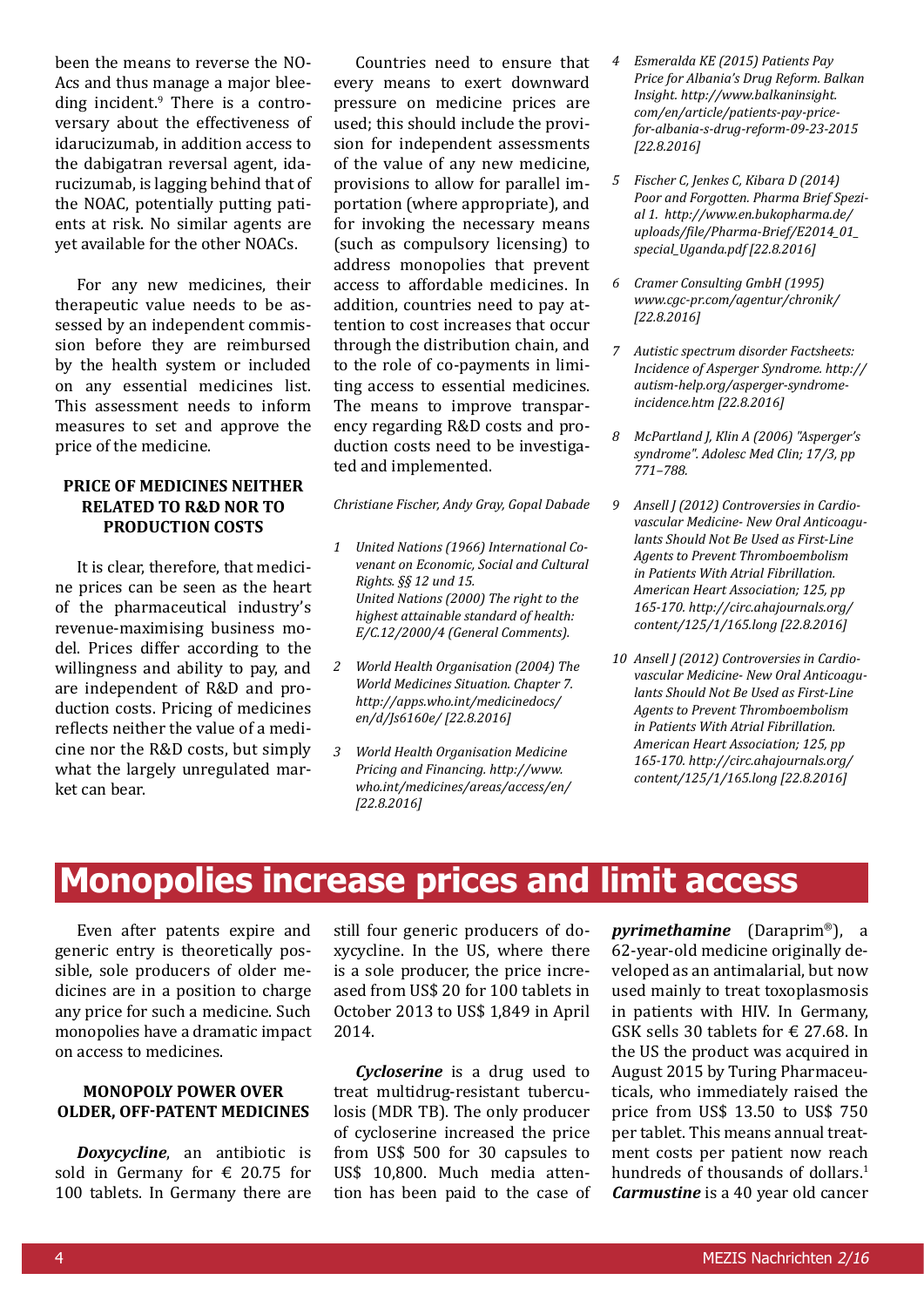been the means to reverse the NO-Acs and thus manage a major bleeding incident.<sup>9</sup> There is a controversary about the effectiveness of idarucizumab, in addition access to the dabigatran reversal agent, idarucizumab, is lagging behind that of the NOAC, potentially putting patients at risk. No similar agents are yet available for the other NOACs.

For any new medicines, their therapeutic value needs to be assessed by an independent commission before they are reimbursed by the health system or included on any essential medicines list. This assessment needs to inform measures to set and approve the price of the medicine.

### **price of medicines neither related to R&D nor to production costs**

It is clear, therefore, that medicine prices can be seen as the heart of the pharmaceutical industry's revenue-maximising business model. Prices differ according to the willingness and ability to pay, and are independent of R&D and production costs. Pricing of medicines reflects neither the value of a medicine nor the R&D costs, but simply what the largely unregulated market can bear.

Countries need to ensure that every means to exert downward pressure on medicine prices are used; this should include the provision for independent assessments of the value of any new medicine, provisions to allow for parallel importation (where appropriate), and for invoking the necessary means (such as compulsory licensing) to address monopolies that prevent access to affordable medicines. In addition, countries need to pay attention to cost increases that occur through the distribution chain, and to the role of co-payments in limiting access to essential medicines. The means to improve transparency regarding R&D costs and production costs need to be investigated and implemented.

*Christiane Fischer, Andy Gray, Gopal Dabade*

- *1 United Nations (1966) International Covenant on Economic, Social and Cultural Rights. §§ 12 und 15. United Nations (2000) The right to the highest attainable standard of health: E/C.12/2000/4 (General Comments).*
- *2 World Health Organisation (2004) The World Medicines Situation. Chapter 7. http://apps.who.int/medicinedocs/ en/d/Js6160e/ [22.8.2016]*
- *3 World Health Organisation Medicine Pricing and Financing. http://www. who.int/medicines/areas/access/en/ [22.8.2016]*
- *4 Esmeralda KE (2015) Patients Pay Price for Albania's Drug Reform. Balkan Insight. http://www.balkaninsight. com/en/article/patients-pay-pricefor-albania-s-drug-reform-09-23-2015 [22.8.2016]*
- *5 Fischer C, Jenkes C, Kibara D (2014) Poor and Forgotten. Pharma Brief Spezial 1. http://www.en.bukopharma.de/ uploads/file/Pharma-Brief/E2014\_01\_ special\_Uganda.pdf [22.8.2016]*
- *6 Cramer Consulting GmbH (1995) www.cgc-pr.com/agentur/chronik/ [22.8.2016]*
- *7 Autistic spectrum disorder Factsheets: Incidence of Asperger Syndrome. http:// autism-help.org/asperger-syndromeincidence.htm [22.8.2016]*
- *8 McPartland J, Klin A (2006) "Asperger's syndrome". Adolesc Med Clin; 17/3, pp 771–788.*
- *9 Ansell J (2012) Controversies in Cardiovascular Medicine- New Oral Anticoagulants Should Not Be Used as First-Line Agents to Prevent Thromboembolism in Patients With Atrial Fibrillation. American Heart Association; 125, pp 165-170. http://circ.ahajournals.org/ content/125/1/165.long [22.8.2016]*
- *10 Ansell J (2012) Controversies in Cardiovascular Medicine- New Oral Anticoagulants Should Not Be Used as First-Line Agents to Prevent Thromboembolism in Patients With Atrial Fibrillation. American Heart Association; 125, pp 165-170. http://circ.ahajournals.org/ content/125/1/165.long [22.8.2016]*

### **Monopolies increase prices and limit access**

Even after patents expire and generic entry is theoretically possible, sole producers of older medicines are in a position to charge any price for such a medicine. Such monopolies have a dramatic impact on access to medicines.

### **Monopoly power over older, off-patent medicines**

*Doxycycline*, an antibiotic is sold in Germany for  $\epsilon$  20.75 for 100 tablets. In Germany there are still four generic producers of doxycycline. In the US, where there is a sole producer, the price increased from US\$ 20 for 100 tablets in October 2013 to US\$ 1,849 in April 2014.

*Cycloserine* is a drug used to treat multidrug-resistant tuberculosis (MDR TB). The only producer of cycloserine increased the price from US\$ 500 for 30 capsules to US\$ 10,800. Much media attention has been paid to the case of *pyrimethamine* (Daraprim®), a 62-year-old medicine originally developed as an antimalarial, but now used mainly to treat toxoplasmosis in patients with HIV. In Germany, GSK sells 30 tablets for  $\in$  27.68. In the US the product was acquired in August 2015 by Turing Pharmaceuticals, who immediately raised the price from US\$ 13.50 to US\$ 750 per tablet. This means annual treatment costs per patient now reach hundreds of thousands of dollars.<sup>1</sup> *Carmustine* is a 40 year old cancer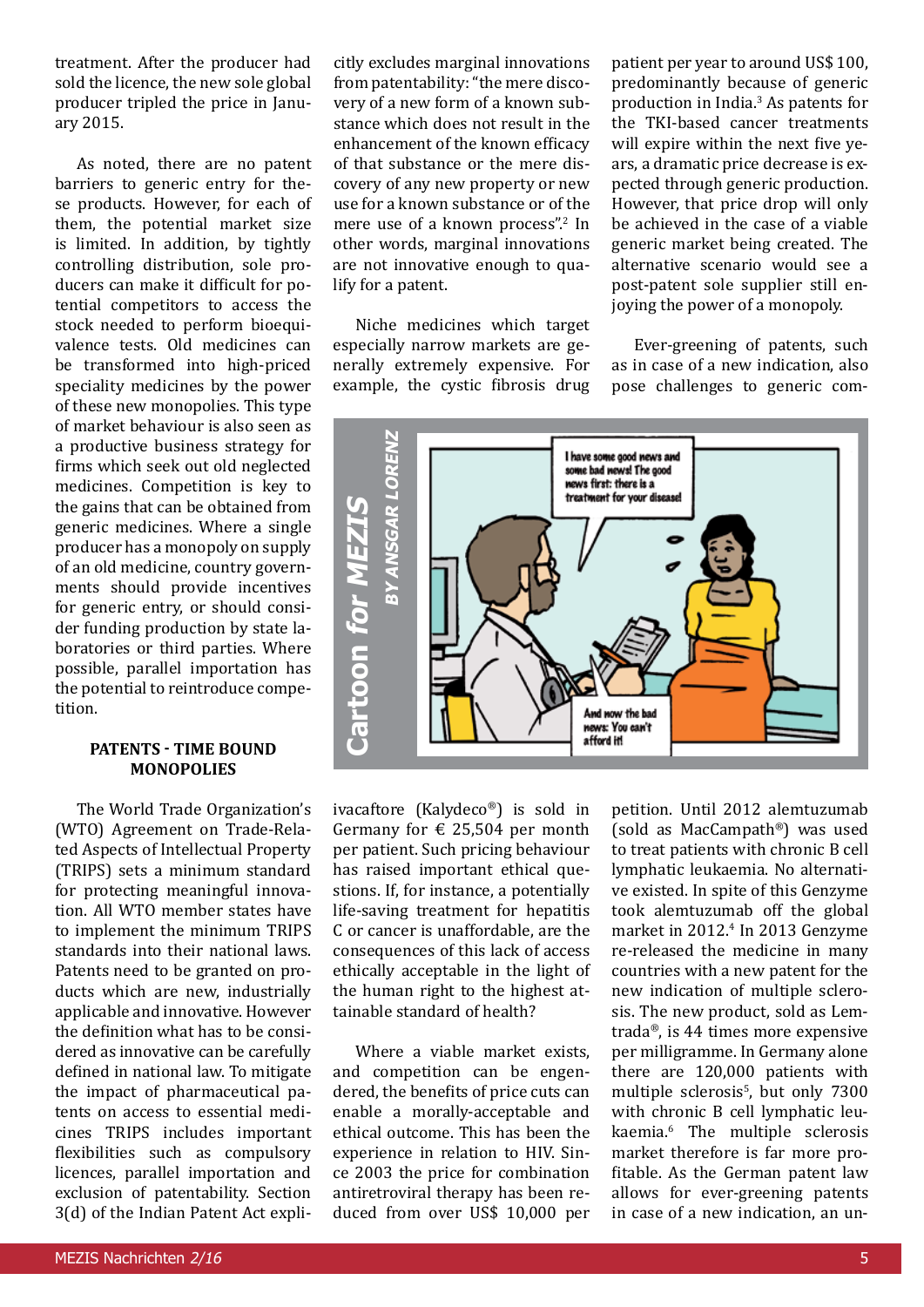treatment. After the producer had sold the licence, the new sole global producer tripled the price in January 2015.

As noted, there are no patent barriers to generic entry for these products. However, for each of them, the potential market size is limited. In addition, by tightly controlling distribution, sole producers can make it difficult for potential competitors to access the stock needed to perform bioequivalence tests. Old medicines can be transformed into high-priced speciality medicines by the power of these new monopolies. This type of market behaviour is also seen as a productive business strategy for firms which seek out old neglected medicines. Competition is key to the gains that can be obtained from generic medicines. Where a single producer has a monopoly on supply of an old medicine, country governments should provide incentives for generic entry, or should consider funding production by state laboratories or third parties. Where possible, parallel importation has the potential to reintroduce competition.

#### **PATENTS - TIME BOUND monopolies**

The World Trade Organization's (WTO) Agreement on Trade-Related Aspects of Intellectual Property (TRIPS) sets a minimum standard for protecting meaningful innovation. All WTO member states have to implement the minimum TRIPS standards into their national laws. Patents need to be granted on products which are new, industrially applicable and innovative. However the definition what has to be considered as innovative can be carefully defined in national law. To mitigate the impact of pharmaceutical patents on access to essential medicines TRIPS includes important flexibilities such as compulsory licences, parallel importation and exclusion of patentability. Section 3(d) of the Indian Patent Act explicitly excludes marginal innovations from patentability: "the mere discovery of a new form of a known substance which does not result in the enhancement of the known efficacy of that substance or the mere discovery of any new property or new use for a known substance or of the mere use of a known process".<sup>2</sup> In other words, marginal innovations are not innovative enough to qualify for a patent.

Niche medicines which target especially narrow markets are generally extremely expensive. For example, the cystic fibrosis drug

patient per year to around US\$ 100, predominantly because of generic production in India.<sup>3</sup> As patents for the TKI-based cancer treatments will expire within the next five years, a dramatic price decrease is expected through generic production. However, that price drop will only be achieved in the case of a viable generic market being created. The alternative scenario would see a post-patent sole supplier still enjoying the power of a monopoly.

Ever-greening of patents, such as in case of a new indication, also pose challenges to generic com-



ivacaftore (Kalydeco®) is sold in Germany for  $\epsilon$  25,504 per month per patient. Such pricing behaviour has raised important ethical questions. If, for instance, a potentially life-saving treatment for hepatitis C or cancer is unaffordable, are the consequences of this lack of access ethically acceptable in the light of the human right to the highest attainable standard of health?

Where a viable market exists, and competition can be engendered, the benefits of price cuts can enable a morally-acceptable and ethical outcome. This has been the experience in relation to HIV. Since 2003 the price for combination antiretroviral therapy has been reduced from over US\$ 10,000 per petition. Until 2012 alemtuzumab (sold as MacCampath®) was used to treat patients with chronic B cell lymphatic leukaemia. No alternative existed. In spite of this Genzyme took alemtuzumab off the global market in 2012.4 In 2013 Genzyme re-released the medicine in many countries with a new patent for the new indication of multiple sclerosis. The new product, sold as Lemtrada®, is 44 times more expensive per milligramme. In Germany alone there are 120,000 patients with multiple sclerosis<sup>5</sup>, but only 7300 with chronic B cell lymphatic leukaemia.<sup>6</sup> The multiple sclerosis market therefore is far more profitable. As the German patent law allows for ever-greening patents in case of a new indication, an un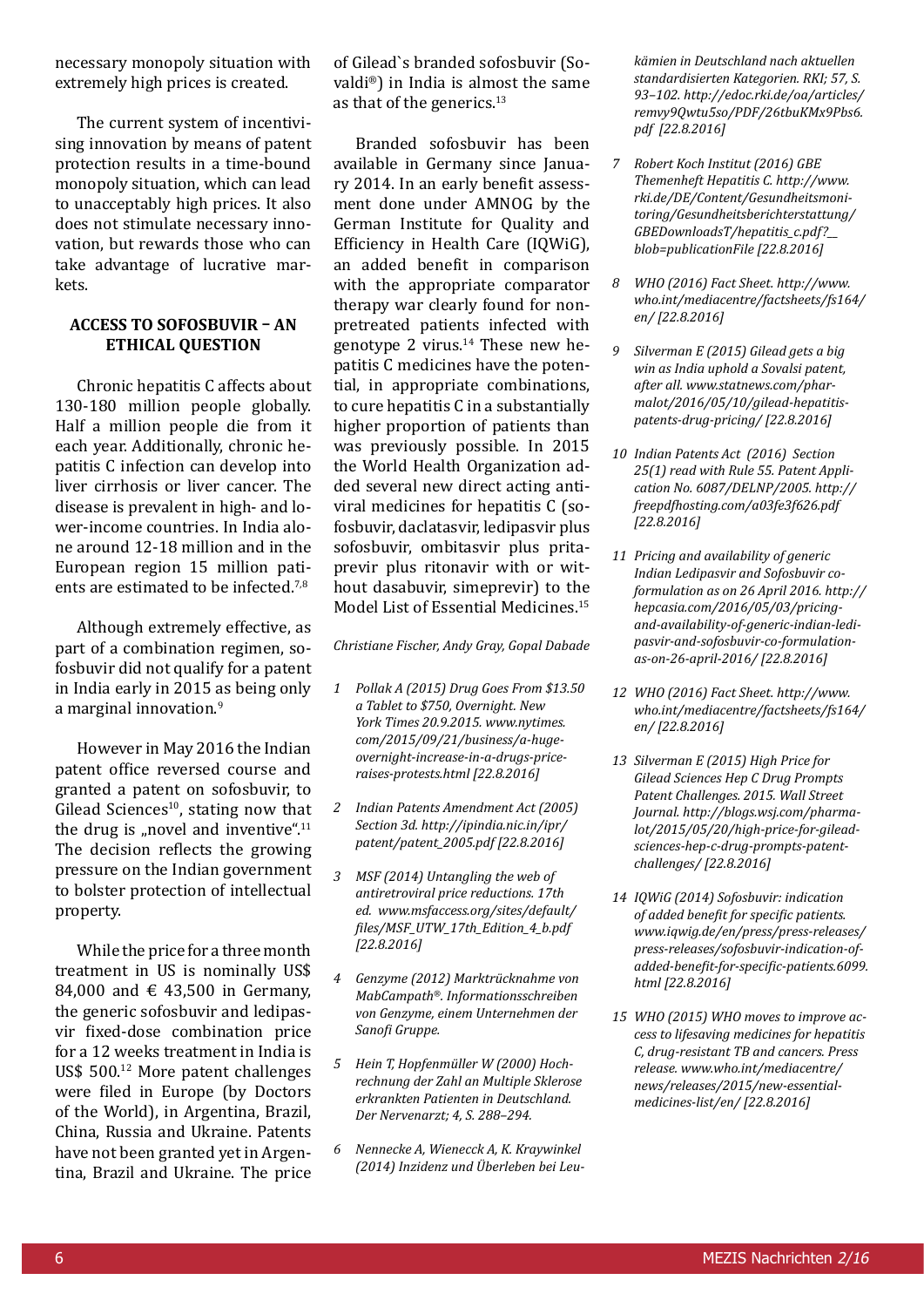necessary monopoly situation with extremely high prices is created.

The current system of incentivising innovation by means of patent protection results in a time-bound monopoly situation, which can lead to unacceptably high prices. It also does not stimulate necessary innovation, but rewards those who can take advantage of lucrative markets.

#### **Access to sofosbuvir – an ethical question**

Chronic hepatitis C affects about 130-180 million people globally. Half a million people die from it each year. Additionally, chronic hepatitis C infection can develop into liver cirrhosis or liver cancer. The disease is prevalent in high- and lower-income countries. In India alone around 12-18 million and in the European region 15 million patients are estimated to be infected.7,8

Although extremely effective, as part of a combination regimen, sofosbuvir did not qualify for a patent in India early in 2015 as being only a marginal innovation.<sup>9</sup>

However in May 2016 the Indian patent office reversed course and granted a patent on sofosbuvir, to Gilead Sciences<sup>10</sup>, stating now that the drug is "novel and inventive". $11$ The decision reflects the growing pressure on the Indian government to bolster protection of intellectual property.

While the price for a three month treatment in US is nominally US\$ 84,000 and  $\in$  43,500 in Germany, the generic sofosbuvir and ledipasvir fixed-dose combination price for a 12 weeks treatment in India is US\$ 500.12 More patent challenges were filed in Europe (by Doctors of the World), in Argentina, Brazil, China, Russia and Ukraine. Patents have not been granted yet in Argentina, Brazil and Ukraine. The price

of Gilead`s branded sofosbuvir (Sovaldi®) in India is almost the same as that of the generics.<sup>13</sup>

Branded sofosbuvir has been available in Germany since January 2014. In an early benefit assessment done under AMNOG by the German Institute for Quality and Efficiency in Health Care (IQWiG), an added benefit in comparison with the appropriate comparator therapy war clearly found for nonpretreated patients infected with genotype 2 virus. $14$  These new hepatitis C medicines have the potential, in appropriate combinations, to cure hepatitis C in a substantially higher proportion of patients than was previously possible. In 2015 the World Health Organization added several new direct acting antiviral medicines for hepatitis C (sofosbuvir, daclatasvir, ledipasvir plus sofosbuvir, ombitasvir plus pritaprevir plus ritonavir with or without dasabuvir, simeprevir) to the Model List of Essential Medicines.<sup>15</sup>

*Christiane Fischer, Andy Gray, Gopal Dabade*

- *1 Pollak A (2015) Drug Goes From \$13.50 a Tablet to \$750, Overnight. New York Times 20.9.2015. www.nytimes. com/2015/09/21/business/a-hugeovernight-increase-in-a-drugs-priceraises-protests.html [22.8.2016]*
- *2 Indian Patents Amendment Act (2005) Section 3d. http://ipindia.nic.in/ipr/ patent/patent\_2005.pdf [22.8.2016]*
- *3 MSF (2014) Untangling the web of antiretroviral price reductions. 17th ed. www.msfaccess.org/sites/default/ files/MSF\_UTW\_17th\_Edition\_4\_b.pdf [22.8.2016]*
- *4 Genzyme (2012) Marktrücknahme von MabCampath®. Informationsschreiben von Genzyme, einem Unternehmen der Sanofi Gruppe.*
- *5 Hein T, Hopfenmüller W (2000) Hochrechnung der Zahl an Multiple Sklerose erkrankten Patienten in Deutschland. Der Nervenarzt; 4, S. 288–294.*
- *6 Nennecke A, Wienecck A, K. Kraywinkel (2014) Inzidenz und Überleben bei Leu-*

*kämien in Deutschland nach aktuellen standardisierten Kategorien. RKI; 57, S. 93–102. http://edoc.rki.de/oa/articles/ remvy9Qwtu5so/PDF/26tbuKMx9Pbs6. pdf [22.8.2016]*

- *7 Robert Koch Institut (2016) GBE Themenheft Hepatitis C. http://www. rki.de/DE/Content/Gesundheitsmonitoring/Gesundheitsberichterstattung/ GBEDownloadsT/hepatitis\_c.pdf?\_\_ blob=publicationFile [22.8.2016]*
- *8 WHO (2016) Fact Sheet. http://www. who.int/mediacentre/factsheets/fs164/ en/ [22.8.2016]*
- *9 Silverman E (2015) Gilead gets a big win as India uphold a Sovalsi patent, after all. www.statnews.com/pharmalot/2016/05/10/gilead-hepatitispatents-drug-pricing/ [22.8.2016]*
- *10 Indian Patents Act (2016) Section 25(1) read with Rule 55. Patent Application No. 6087/DELNP/2005. http:// freepdfhosting.com/a03fe3f626.pdf [22.8.2016]*
- *11 Pricing and availability of generic Indian Ledipasvir and Sofosbuvir coformulation as on 26 April 2016. http:// hepcasia.com/2016/05/03/pricingand-availability-of-generic-indian-ledipasvir-and-sofosbuvir-co-formulationas-on-26-april-2016/ [22.8.2016]*
- *12 WHO (2016) Fact Sheet. http://www. who.int/mediacentre/factsheets/fs164/ en/ [22.8.2016]*
- *13 Silverman E (2015) High Price for Gilead Sciences Hep C Drug Prompts Patent Challenges. 2015. Wall Street Journal. http://blogs.wsj.com/pharmalot/2015/05/20/high-price-for-gileadsciences-hep-c-drug-prompts-patentchallenges/ [22.8.2016]*
- *14 IQWiG (2014) Sofosbuvir: indication of added benefit for specific patients. www.iqwig.de/en/press/press-releases/ press-releases/sofosbuvir-indication-ofadded-benefit-for-specific-patients.6099. html [22.8.2016]*
- *15 WHO (2015) WHO moves to improve access to lifesaving medicines for hepatitis C, drug-resistant TB and cancers. Press release. www.who.int/mediacentre/ news/releases/2015/new-essentialmedicines-list/en/ [22.8.2016]*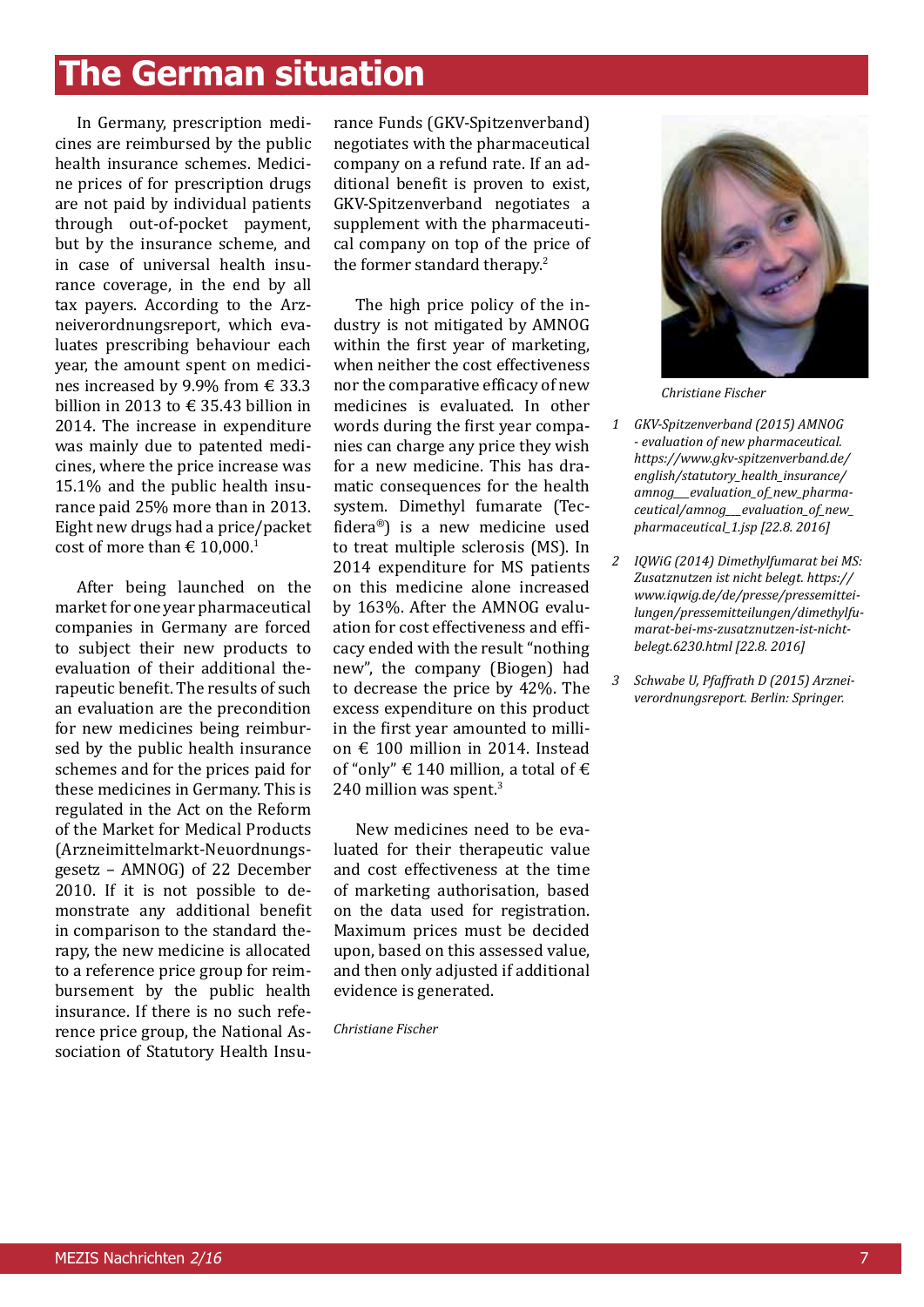# **The German situation**

In Germany, prescription medicines are reimbursed by the public health insurance schemes. Medicine prices of for prescription drugs are not paid by individual patients through out-of-pocket payment, but by the insurance scheme, and in case of universal health insurance coverage, in the end by all tax payers. According to the Arzneiverordnungsreport, which evaluates prescribing behaviour each year, the amount spent on medicines increased by 9.9% from € 33.3 billion in 2013 to  $\in$  35.43 billion in 2014. The increase in expenditure was mainly due to patented medicines, where the price increase was 15.1% and the public health insurance paid 25% more than in 2013. Eight new drugs had a price/packet cost of more than  $\epsilon$  10,000.<sup>1</sup>

After being launched on the market for one year pharmaceutical companies in Germany are forced to subject their new products to evaluation of their additional therapeutic benefit. The results of such an evaluation are the precondition for new medicines being reimbursed by the public health insurance schemes and for the prices paid for these medicines in Germany. This is regulated in the Act on the Reform of the Market for Medical Products (Arzneimittelmarkt-Neuordnungsgesetz – AMNOG) of 22 December 2010. If it is not possible to demonstrate any additional benefit in comparison to the standard therapy, the new medicine is allocated to a reference price group for reimbursement by the public health insurance. If there is no such reference price group, the National Association of Statutory Health Insurance Funds (GKV-Spitzenverband) negotiates with the pharmaceutical company on a refund rate. If an additional benefit is proven to exist, GKV-Spitzenverband negotiates a supplement with the pharmaceutical company on top of the price of the former standard therapy.<sup>2</sup>

The high price policy of the industry is not mitigated by AMNOG within the first year of marketing, when neither the cost effectiveness nor the comparative efficacy of new medicines is evaluated. In other words during the first year companies can charge any price they wish for a new medicine. This has dramatic consequences for the health system. Dimethyl fumarate (Tecfidera®) is a new medicine used to treat multiple sclerosis (MS). In 2014 expenditure for MS patients on this medicine alone increased by 163%. After the AMNOG evaluation for cost effectiveness and efficacy ended with the result "nothing new", the company (Biogen) had to decrease the price by 42%. The excess expenditure on this product in the first year amounted to million € 100 million in 2014. Instead of "only"  $\in$  140 million, a total of  $\in$ 240 million was spent.<sup>3</sup>

New medicines need to be evaluated for their therapeutic value and cost effectiveness at the time of marketing authorisation, based on the data used for registration. Maximum prices must be decided upon, based on this assessed value, and then only adjusted if additional evidence is generated.

*Christiane Fischer*



*Christiane Fischer*

- *1 GKV-Spitzenverband (2015) AMNOG - evaluation of new pharmaceutical. https://www.gkv-spitzenverband.de/ english/statutory\_health\_insurance/ amnog\_\_\_evaluation\_of\_new\_pharmaceutical/amnog\_\_\_evaluation\_of\_new\_ pharmaceutical\_1.jsp [22.8. 2016]*
- *2 IQWiG (2014) Dimethylfumarat bei MS: Zusatznutzen ist nicht belegt. https:// www.iqwig.de/de/presse/pressemitteilungen/pressemitteilungen/dimethylfumarat-bei-ms-zusatznutzen-ist-nichtbelegt.6230.html [22.8. 2016]*
- *3 Schwabe U, Pfaffrath D (2015) Arzneiverordnungsreport. Berlin: Springer.*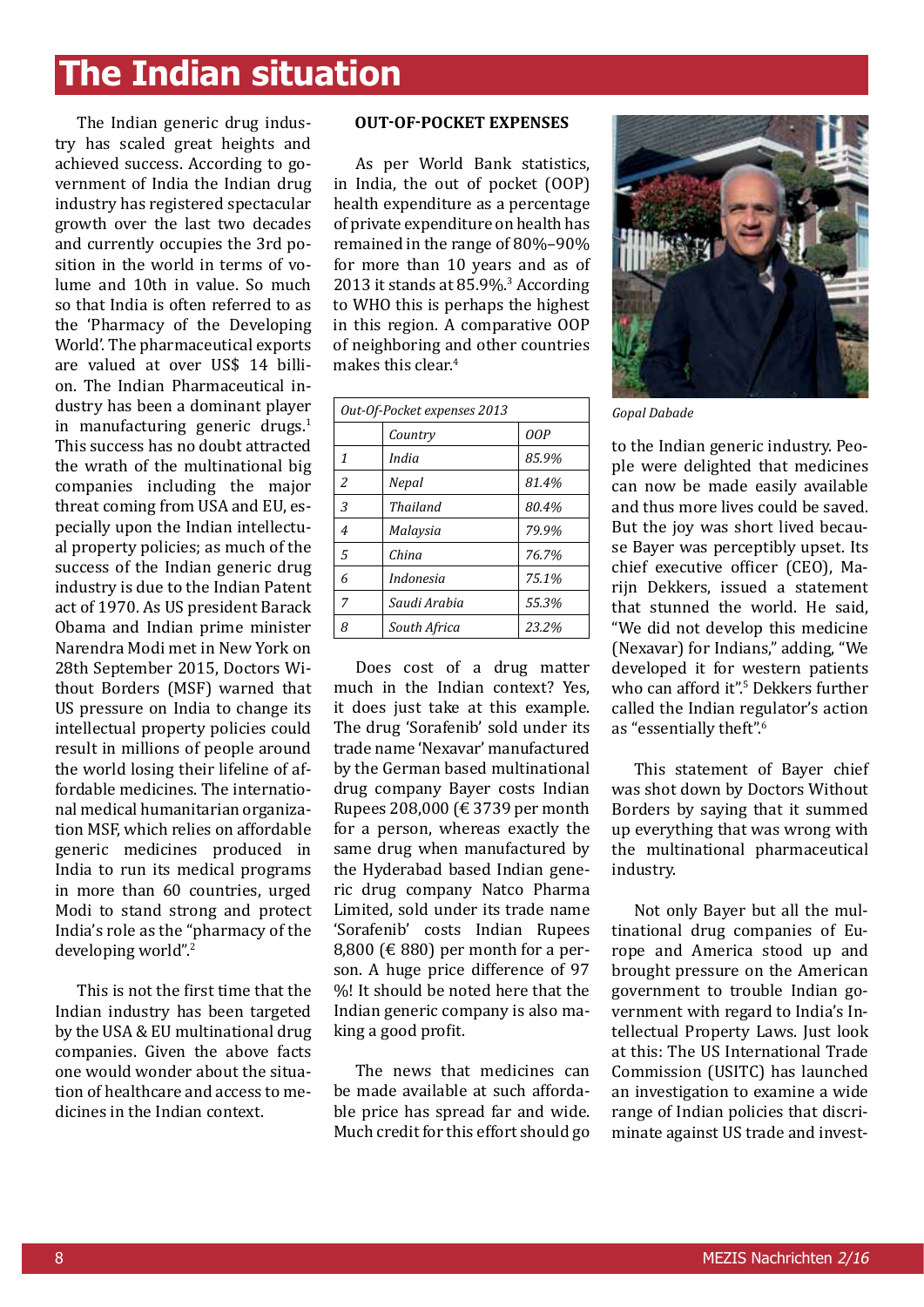# **The Indian situation**

The Indian generic drug industry has scaled great heights and achieved success. According to government of India the Indian drug industry has registered spectacular growth over the last two decades and currently occupies the 3rd position in the world in terms of volume and 10th in value. So much so that India is often referred to as the 'Pharmacy of the Developing World'. The pharmaceutical exports are valued at over US\$ 14 billion. The Indian Pharmaceutical industry has been a dominant player in manufacturing generic drugs. $1$ This success has no doubt attracted the wrath of the multinational big companies including the major threat coming from USA and EU, especially upon the Indian intellectual property policies; as much of the success of the Indian generic drug industry is due to the Indian Patent act of 1970. As US president Barack Obama and Indian prime minister Narendra Modi met in New York on 28th September 2015, Doctors Without Borders (MSF) warned that US pressure on India to change its intellectual property policies could result in millions of people around the world losing their lifeline of affordable medicines. The international medical humanitarian organization MSF, which relies on affordable generic medicines produced in India to run its medical programs in more than 60 countries, urged Modi to stand strong and protect India's role as the "pharmacy of the developing world".<sup>2</sup>

This is not the first time that the Indian industry has been targeted by the USA & EU multinational drug companies. Given the above facts one would wonder about the situation of healthcare and access to medicines in the Indian context.

#### **Out-Of-Pocket Expenses**

As per World Bank statistics, in India, the out of pocket (OOP) health expenditure as a percentage of private expenditure on health has remained in the range of 80%–90% for more than 10 years and as of 2013 it stands at 85.9%.<sup>3</sup> According to WHO this is perhaps the highest in this region. A comparative OOP of neighboring and other countries makes this clear.<sup>4</sup>

| Out-Of-Pocket expenses 2013 |              |       |
|-----------------------------|--------------|-------|
|                             | Country      | OOP   |
| $\mathbf{1}$                | India        | 85.9% |
| $\overline{c}$              | Nepal        | 81.4% |
| 3                           | Thailand     | 80.4% |
| $\overline{4}$              | Malaysia     | 79.9% |
| 5                           | China        | 76.7% |
| 6                           | Indonesia    | 75.1% |
| 7                           | Saudi Arabia | 55.3% |
| 8                           | South Africa | 23.2% |

Does cost of a drug matter much in the Indian context? Yes, it does just take at this example. The drug 'Sorafenib' sold under its trade name 'Nexavar' manufactured by the German based multinational drug company Bayer costs Indian Rupees 208,000 (€ 3739 per month for a person, whereas exactly the same drug when manufactured by the Hyderabad based Indian generic drug company Natco Pharma Limited, sold under its trade name 'Sorafenib' costs Indian Rupees 8,800 ( $\in$  880) per month for a person. A huge price difference of 97 %! It should be noted here that the Indian generic company is also making a good profit.

The news that medicines can be made available at such affordable price has spread far and wide. Much credit for this effort should go



*Gopal Dabade* 

to the Indian generic industry. People were delighted that medicines can now be made easily available and thus more lives could be saved. But the joy was short lived because Bayer was perceptibly upset. Its chief executive officer (CEO), Marijn Dekkers, issued a statement that stunned the world. He said, "We did not develop this medicine (Nexavar) for Indians," adding, "We developed it for western patients who can afford it".<sup>5</sup> Dekkers further called the Indian regulator's action as "essentially theft".<sup>6</sup>

This statement of Bayer chief was shot down by Doctors Without Borders by saying that it summed up everything that was wrong with the multinational pharmaceutical industry.

Not only Bayer but all the multinational drug companies of Europe and America stood up and brought pressure on the American government to trouble Indian government with regard to India's Intellectual Property Laws. Just look at this: The US International Trade Commission (USITC) has launched an investigation to examine a wide range of Indian policies that discriminate against US trade and invest-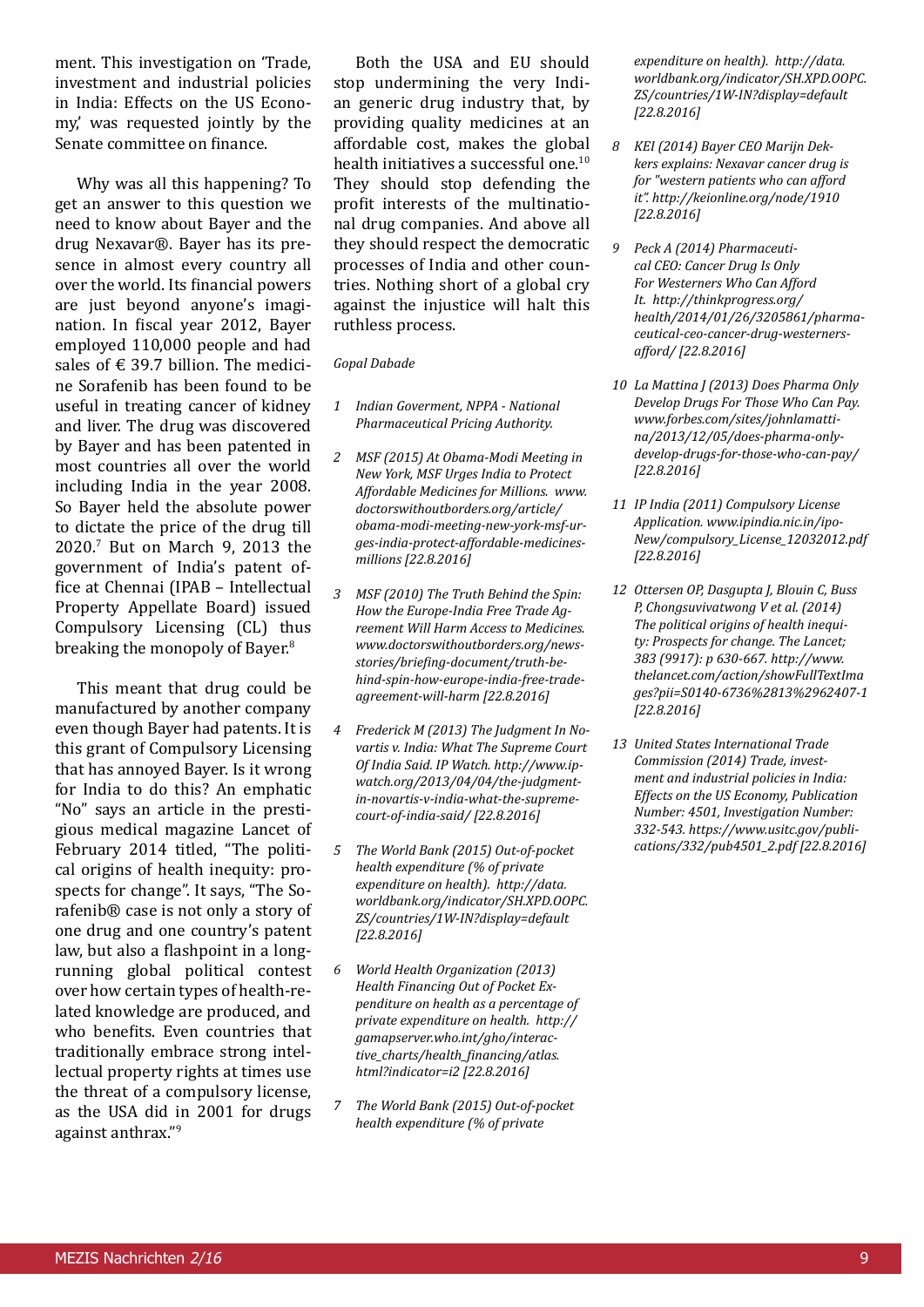ment. This investigation on 'Trade, investment and industrial policies in India: Effects on the US Economy,' was requested jointly by the Senate committee on finance.

Why was all this happening? To get an answer to this question we need to know about Bayer and the drug Nexavar®. Bayer has its presence in almost every country all over the world. Its financial powers are just beyond anyone's imagination. In fiscal year 2012, Bayer employed 110,000 people and had sales of  $\epsilon$  39.7 billion. The medicine Sorafenib has been found to be useful in treating cancer of kidney and liver. The drug was discovered by Bayer and has been patented in most countries all over the world including India in the year 2008. So Bayer held the absolute power to dictate the price of the drug till 2020.7 But on March 9, 2013 the government of India's patent office at Chennai (IPAB – Intellectual Property Appellate Board) issued Compulsory Licensing (CL) thus breaking the monopoly of Bayer.<sup>8</sup>

This meant that drug could be manufactured by another company even though Bayer had patents. It is this grant of Compulsory Licensing that has annoyed Bayer. Is it wrong for India to do this? An emphatic "No" says an article in the prestigious medical magazine Lancet of February 2014 titled, "The political origins of health inequity: prospects for change". It says, "The Sorafenib® case is not only a story of one drug and one country's patent law, but also a flashpoint in a longrunning global political contest over how certain types of health-related knowledge are produced, and who benefits. Even countries that traditionally embrace strong intellectual property rights at times use the threat of a compulsory license, as the USA did in 2001 for drugs against anthrax."<sup>9</sup>

Both the USA and EU should stop undermining the very Indian generic drug industry that, by providing quality medicines at an affordable cost, makes the global health initiatives a successful one.<sup>10</sup> They should stop defending the profit interests of the multinational drug companies. And above all they should respect the democratic processes of India and other countries. Nothing short of a global cry against the injustice will halt this ruthless process.

#### *Gopal Dabade*

- *1 Indian Goverment, NPPA National Pharmaceutical Pricing Authority.*
- *2 MSF (2015) At Obama-Modi Meeting in New York, MSF Urges India to Protect Affordable Medicines for Millions. www. doctorswithoutborders.org/article/ obama-modi-meeting-new-york-msf-urges-india-protect-affordable-medicinesmillions [22.8.2016]*
- *3 MSF (2010) The Truth Behind the Spin: How the Europe-India Free Trade Agreement Will Harm Access to Medicines. www.doctorswithoutborders.org/newsstories/briefing-document/truth-behind-spin-how-europe-india-free-tradeagreement-will-harm [22.8.2016]*
- *4 Frederick M (2013) The Judgment In Novartis v. India: What The Supreme Court Of India Said. IP Watch. http://www.ipwatch.org/2013/04/04/the-judgmentin-novartis-v-india-what-the-supremecourt-of-india-said/ [22.8.2016]*
- *5 The World Bank (2015) Out-of-pocket health expenditure (% of private expenditure on health). http://data. worldbank.org/indicator/SH.XPD.OOPC. ZS/countries/1W-IN?display=default [22.8.2016]*
- *6 World Health Organization (2013) Health Financing Out of Pocket Expenditure on health as a percentage of private expenditure on health. http:// gamapserver.who.int/gho/interactive\_charts/health\_financing/atlas. html?indicator=i2 [22.8.2016]*
- *7 The World Bank (2015) Out-of-pocket health expenditure (% of private*

*expenditure on health). http://data. worldbank.org/indicator/SH.XPD.OOPC. ZS/countries/1W-IN?display=default [22.8.2016]*

- *8 KEI (2014) Bayer CEO Marijn Dekkers explains: Nexavar cancer drug is for "western patients who can afford it". http://keionline.org/node/1910 [22.8.2016]*
- *9 Peck A (2014) Pharmaceutical CEO: Cancer Drug Is Only For Westerners Who Can Afford It. http://thinkprogress.org/ health/2014/01/26/3205861/pharmaceutical-ceo-cancer-drug-westernersafford/ [22.8.2016]*
- *10 La Mattina J (2013) Does Pharma Only Develop Drugs For Those Who Can Pay. www.forbes.com/sites/johnlamattina/2013/12/05/does-pharma-onlydevelop-drugs-for-those-who-can-pay/ [22.8.2016]*
- *11 IP India (2011) Compulsory License Application. www.ipindia.nic.in/ipo-New/compulsory\_License\_12032012.pdf [22.8.2016]*
- *12 Ottersen OP, Dasgupta J, Blouin C, Buss P, Chongsuvivatwong V et al. (2014) The political origins of health inequity: Prospects for change. The Lancet; 383 (9917): p 630-667. http://www. thelancet.com/action/showFullTextIma ges?pii=S0140-6736%2813%2962407-1 [22.8.2016]*
- *13 United States International Trade Commission (2014) Trade, investment and industrial policies in India: Effects on the US Economy, Publication Number: 4501, Investigation Number: 332-543. https://www.usitc.gov/publications/332/pub4501\_2.pdf [22.8.2016]*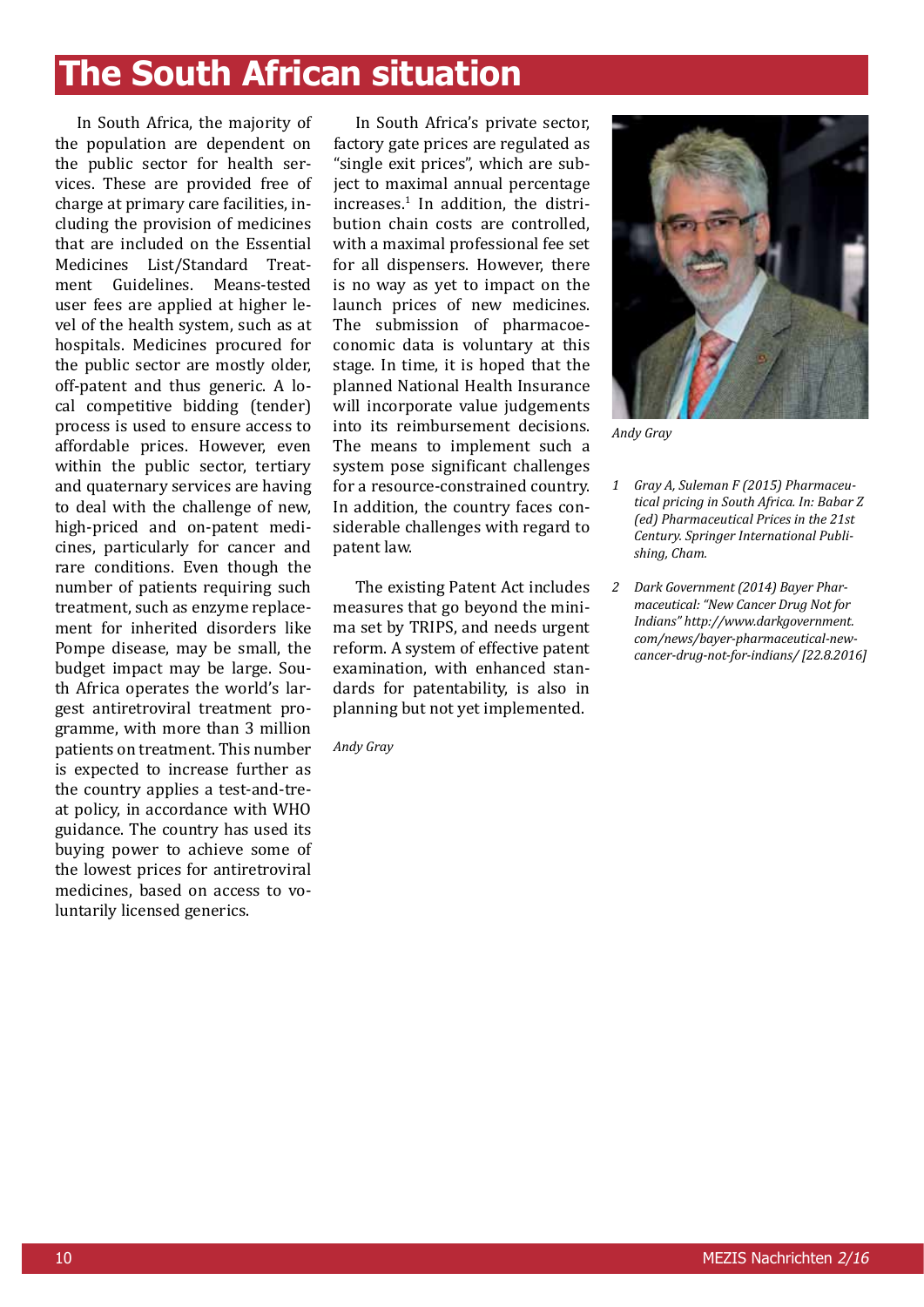# **The South African situation**

In South Africa, the majority of the population are dependent on the public sector for health services. These are provided free of charge at primary care facilities, including the provision of medicines that are included on the Essential Medicines List/Standard Treat-<br>ment Guidelines Means-tested Means-tested user fees are applied at higher level of the health system, such as at hospitals. Medicines procured for the public sector are mostly older, off-patent and thus generic. A local competitive bidding (tender) process is used to ensure access to affordable prices. However, even within the public sector, tertiary and quaternary services are having to deal with the challenge of new, high-priced and on-patent medicines, particularly for cancer and rare conditions. Even though the number of patients requiring such treatment, such as enzyme replacement for inherited disorders like Pompe disease, may be small, the budget impact may be large. South Africa operates the world's largest antiretroviral treatment programme, with more than 3 million patients on treatment. This number is expected to increase further as the country applies a test-and-treat policy, in accordance with WHO guidance. The country has used its buying power to achieve some of the lowest prices for antiretroviral medicines, based on access to voluntarily licensed generics.

In South Africa's private sector, factory gate prices are regulated as "single exit prices", which are subject to maximal annual percentage increases.1 In addition, the distribution chain costs are controlled, with a maximal professional fee set for all dispensers. However, there is no way as yet to impact on the launch prices of new medicines. The submission of pharmacoeconomic data is voluntary at this stage. In time, it is hoped that the planned National Health Insurance will incorporate value judgements into its reimbursement decisions. The means to implement such a system pose significant challenges for a resource-constrained country. In addition, the country faces considerable challenges with regard to patent law.

The existing Patent Act includes measures that go beyond the minima set by TRIPS, and needs urgent reform. A system of effective patent examination, with enhanced standards for patentability, is also in planning but not yet implemented.

*Andy Gray* 



*Andy Gray* 

- *1 Gray A, Suleman F (2015) Pharmaceutical pricing in South Africa. In: Babar Z (ed) Pharmaceutical Prices in the 21st Century. Springer International Publishing, Cham.*
- *2 Dark Government (2014) Bayer Pharmaceutical: "New Cancer Drug Not for Indians" http://www.darkgovernment. com/news/bayer-pharmaceutical-newcancer-drug-not-for-indians/ [22.8.2016]*